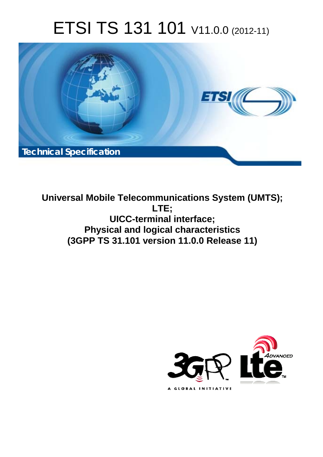# ETSI TS 131 101 V11.0.0 (2012-11)



**Universal Mobile Telecommunications System (UMTS); LTE; UICC-terminal interface; Physical and logical characteristics (3GPP TS 31.101 version 11.0.0 Release 11)** 

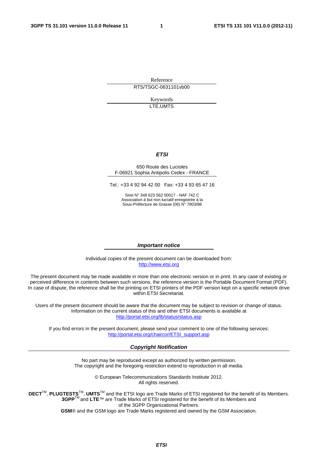Reference RTS/TSGC-0631101vb00

> Keywords LTE,UMTS

#### *ETSI*

#### 650 Route des Lucioles F-06921 Sophia Antipolis Cedex - FRANCE

Tel.: +33 4 92 94 42 00 Fax: +33 4 93 65 47 16

Siret N° 348 623 562 00017 - NAF 742 C Association à but non lucratif enregistrée à la Sous-Préfecture de Grasse (06) N° 7803/88

#### *Important notice*

Individual copies of the present document can be downloaded from: [http://www.etsi.org](http://www.etsi.org/)

The present document may be made available in more than one electronic version or in print. In any case of existing or perceived difference in contents between such versions, the reference version is the Portable Document Format (PDF). In case of dispute, the reference shall be the printing on ETSI printers of the PDF version kept on a specific network drive within ETSI Secretariat.

Users of the present document should be aware that the document may be subject to revision or change of status. Information on the current status of this and other ETSI documents is available at <http://portal.etsi.org/tb/status/status.asp>

If you find errors in the present document, please send your comment to one of the following services: [http://portal.etsi.org/chaircor/ETSI\\_support.asp](http://portal.etsi.org/chaircor/ETSI_support.asp)

#### *Copyright Notification*

No part may be reproduced except as authorized by written permission. The copyright and the foregoing restriction extend to reproduction in all media.

> © European Telecommunications Standards Institute 2012. All rights reserved.

DECT<sup>™</sup>, PLUGTESTS<sup>™</sup>, UMTS<sup>™</sup> and the ETSI logo are Trade Marks of ETSI registered for the benefit of its Members. **3GPP**TM and **LTE**™ are Trade Marks of ETSI registered for the benefit of its Members and of the 3GPP Organizational Partners.

**GSM**® and the GSM logo are Trade Marks registered and owned by the GSM Association.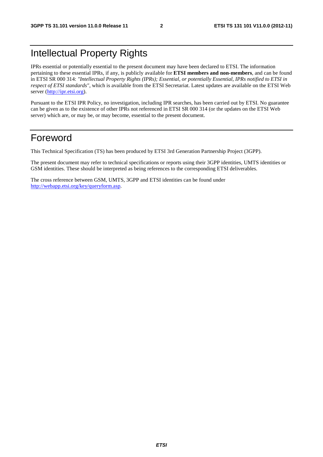## Intellectual Property Rights

IPRs essential or potentially essential to the present document may have been declared to ETSI. The information pertaining to these essential IPRs, if any, is publicly available for **ETSI members and non-members**, and can be found in ETSI SR 000 314: *"Intellectual Property Rights (IPRs); Essential, or potentially Essential, IPRs notified to ETSI in respect of ETSI standards"*, which is available from the ETSI Secretariat. Latest updates are available on the ETSI Web server ([http://ipr.etsi.org\)](http://webapp.etsi.org/IPR/home.asp).

Pursuant to the ETSI IPR Policy, no investigation, including IPR searches, has been carried out by ETSI. No guarantee can be given as to the existence of other IPRs not referenced in ETSI SR 000 314 (or the updates on the ETSI Web server) which are, or may be, or may become, essential to the present document.

## Foreword

This Technical Specification (TS) has been produced by ETSI 3rd Generation Partnership Project (3GPP).

The present document may refer to technical specifications or reports using their 3GPP identities, UMTS identities or GSM identities. These should be interpreted as being references to the corresponding ETSI deliverables.

The cross reference between GSM, UMTS, 3GPP and ETSI identities can be found under [http://webapp.etsi.org/key/queryform.asp.](http://webapp.etsi.org/key/queryform.asp)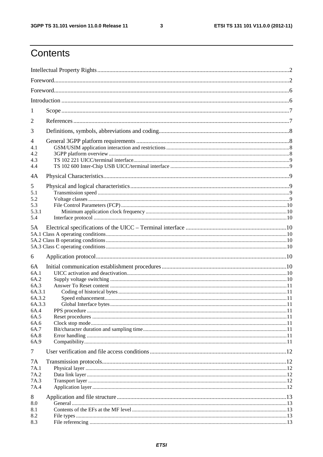$\mathbf{3}$ 

## Contents

| 1<br>2<br>3<br>4<br>4.1<br>4.2<br>4.3<br>4.4<br>4A<br>5<br>5.1<br>5.2<br>5.3<br>5.3.1<br>5.4<br>5A<br>6<br>6A<br>6A.1<br>6A.2<br>6A.3<br>6A.3.1<br>6A.3.2<br>6A.3.3 |  |
|---------------------------------------------------------------------------------------------------------------------------------------------------------------------|--|
|                                                                                                                                                                     |  |
|                                                                                                                                                                     |  |
|                                                                                                                                                                     |  |
|                                                                                                                                                                     |  |
|                                                                                                                                                                     |  |
|                                                                                                                                                                     |  |
|                                                                                                                                                                     |  |
|                                                                                                                                                                     |  |
|                                                                                                                                                                     |  |
|                                                                                                                                                                     |  |
|                                                                                                                                                                     |  |
| 6A.4<br>6A.5<br>6A.6<br>6A.7<br>6A.8<br>6A.9<br>$\tau$                                                                                                              |  |
|                                                                                                                                                                     |  |
| 7A<br>7A.1<br>7A.2<br>7A.3<br>7A.4                                                                                                                                  |  |
| 8<br>8.0<br>8.1<br>8.2<br>8.3                                                                                                                                       |  |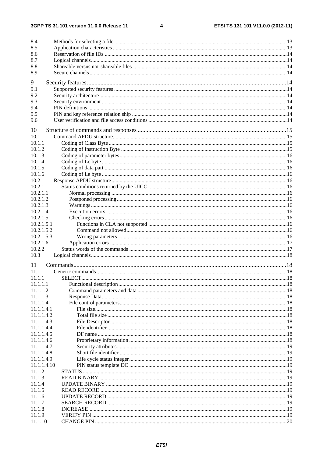$\overline{\mathbf{4}}$ 

| 8.4         |  |
|-------------|--|
| 8.5         |  |
| 8.6         |  |
| 8.7         |  |
| 8.8         |  |
| 8.9         |  |
|             |  |
| 9           |  |
| 9.1         |  |
| 9.2         |  |
| 9.3         |  |
| 9.4         |  |
| 9.5         |  |
| 9.6         |  |
|             |  |
| 10          |  |
| 10.1        |  |
| 10.1.1      |  |
| 10.1.2      |  |
| 10.1.3      |  |
| 10.1.4      |  |
| 10.1.5      |  |
| 10.1.6      |  |
| 10.2        |  |
| 10.2.1      |  |
| 10.2.1.1    |  |
| 10.2.1.2    |  |
| 10.2.1.3    |  |
| 10.2.1.4    |  |
| 10.2.1.5    |  |
| 10.2.1.5.1  |  |
| 10.2.1.5.2  |  |
| 10.2.1.5.3  |  |
| 10.2.1.6    |  |
| 10.2.2      |  |
| 10.3        |  |
|             |  |
| 11          |  |
| 11.1        |  |
| 11.1.1      |  |
| 11.1.1.1    |  |
| 11.1.1.2    |  |
| 11.1.1.3    |  |
| 11.1.1.4    |  |
| 11.1.1.4.1  |  |
| 11.1.1.4.2  |  |
| 11.1.1.4.3  |  |
| 11.1.1.4.4  |  |
| 11.1.1.4.5  |  |
| 11.1.1.4.6  |  |
| 11.1.1.4.7  |  |
| 11.1.1.4.8  |  |
| 11.1.1.4.9  |  |
| 11.1.1.4.10 |  |
| 11.1.2      |  |
| 11.1.3      |  |
| 11.1.4      |  |
| 11.1.5      |  |
| 11.1.6      |  |
| 11.1.7      |  |
|             |  |
| 11.1.8      |  |
| 11.1.9      |  |
| 11.1.10     |  |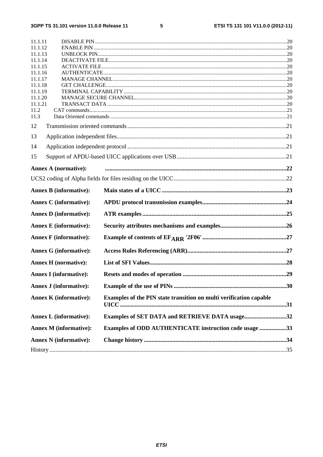$\overline{\mathbf{5}}$ 

| 11.1.11            |                               |                                                                    |  |  |  |  |  |
|--------------------|-------------------------------|--------------------------------------------------------------------|--|--|--|--|--|
| 11.1.12            |                               |                                                                    |  |  |  |  |  |
| 11.1.13<br>11.1.14 |                               |                                                                    |  |  |  |  |  |
| 11.1.15            |                               |                                                                    |  |  |  |  |  |
|                    | 11.1.16                       |                                                                    |  |  |  |  |  |
|                    | 11.1.17                       |                                                                    |  |  |  |  |  |
| 11.1.18            |                               |                                                                    |  |  |  |  |  |
| 11.1.19            |                               |                                                                    |  |  |  |  |  |
| 11.1.20            |                               |                                                                    |  |  |  |  |  |
| 11.1.21            |                               |                                                                    |  |  |  |  |  |
| 11.2               |                               |                                                                    |  |  |  |  |  |
| 11.3               |                               |                                                                    |  |  |  |  |  |
| 12                 |                               |                                                                    |  |  |  |  |  |
| 13                 |                               |                                                                    |  |  |  |  |  |
| 14                 |                               |                                                                    |  |  |  |  |  |
| 15                 |                               |                                                                    |  |  |  |  |  |
|                    | <b>Annex A (normative):</b>   |                                                                    |  |  |  |  |  |
|                    |                               |                                                                    |  |  |  |  |  |
|                    | <b>Annex B</b> (informative): |                                                                    |  |  |  |  |  |
|                    |                               |                                                                    |  |  |  |  |  |
|                    | <b>Annex C</b> (informative): |                                                                    |  |  |  |  |  |
|                    | <b>Annex D</b> (informative): |                                                                    |  |  |  |  |  |
|                    | <b>Annex E</b> (informative): |                                                                    |  |  |  |  |  |
|                    |                               |                                                                    |  |  |  |  |  |
|                    | <b>Annex F</b> (informative): |                                                                    |  |  |  |  |  |
|                    | <b>Annex G (informative):</b> |                                                                    |  |  |  |  |  |
|                    | <b>Annex H</b> (normative):   |                                                                    |  |  |  |  |  |
|                    | <b>Annex I</b> (informative): |                                                                    |  |  |  |  |  |
|                    | <b>Annex J (informative):</b> |                                                                    |  |  |  |  |  |
|                    |                               |                                                                    |  |  |  |  |  |
|                    | <b>Annex K</b> (informative): | Examples of the PIN state transition on multi verification capable |  |  |  |  |  |
|                    | <b>Annex L (informative):</b> | Examples of SET DATA and RETRIEVE DATA usage32                     |  |  |  |  |  |
|                    | <b>Annex M</b> (informative): |                                                                    |  |  |  |  |  |
|                    |                               | Examples of ODD AUTHENTICATE instruction code usage 33             |  |  |  |  |  |
|                    | <b>Annex N</b> (informative): |                                                                    |  |  |  |  |  |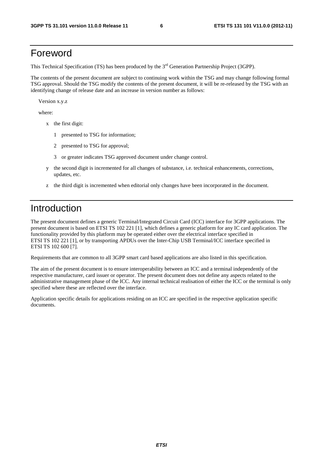## Foreword

This Technical Specification (TS) has been produced by the 3<sup>rd</sup> Generation Partnership Project (3GPP).

The contents of the present document are subject to continuing work within the TSG and may change following formal TSG approval. Should the TSG modify the contents of the present document, it will be re-released by the TSG with an identifying change of release date and an increase in version number as follows:

Version x.y.z

where:

- x the first digit:
	- 1 presented to TSG for information;
	- 2 presented to TSG for approval;
	- 3 or greater indicates TSG approved document under change control.
- y the second digit is incremented for all changes of substance, i.e. technical enhancements, corrections, updates, etc.
- z the third digit is incremented when editorial only changes have been incorporated in the document.

## Introduction

The present document defines a generic Terminal/Integrated Circuit Card (ICC) interface for 3GPP applications. The present document is based on ETSI TS 102 221 [1], which defines a generic platform for any IC card application. The functionality provided by this platform may be operated either over the electrical interface specified in ETSI TS 102 221 [1], or by transporting APDUs over the Inter-Chip USB Terminal/ICC interface specified in ETSI TS 102 600 [7].

Requirements that are common to all 3GPP smart card based applications are also listed in this specification.

The aim of the present document is to ensure interoperability between an ICC and a terminal independently of the respective manufacturer, card issuer or operator. The present document does not define any aspects related to the administrative management phase of the ICC. Any internal technical realisation of either the ICC or the terminal is only specified where these are reflected over the interface.

Application specific details for applications residing on an ICC are specified in the respective application specific documents.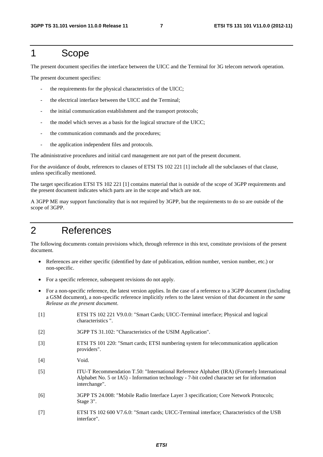## 1 Scope

The present document specifies the interface between the UICC and the Terminal for 3G telecom network operation.

The present document specifies:

- the requirements for the physical characteristics of the UICC;
- the electrical interface between the UICC and the Terminal;
- the initial communication establishment and the transport protocols;
- the model which serves as a basis for the logical structure of the UICC;
- the communication commands and the procedures;
- the application independent files and protocols.

The administrative procedures and initial card management are not part of the present document.

For the avoidance of doubt, references to clauses of ETSI TS 102 221 [1] include all the subclauses of that clause, unless specifically mentioned.

The target specification ETSI TS 102 221 [1] contains material that is outside of the scope of 3GPP requirements and the present document indicates which parts are in the scope and which are not.

A 3GPP ME may support functionality that is not required by 3GPP, but the requirements to do so are outside of the scope of 3GPP.

## 2 References

The following documents contain provisions which, through reference in this text, constitute provisions of the present document.

- References are either specific (identified by date of publication, edition number, version number, etc.) or non-specific.
- For a specific reference, subsequent revisions do not apply.
- For a non-specific reference, the latest version applies. In the case of a reference to a 3GPP document (including a GSM document), a non-specific reference implicitly refers to the latest version of that document *in the same Release as the present document*.
- [1] ETSI TS 102 221 V9.0.0: "Smart Cards; UICC-Terminal interface; Physical and logical characteristics ".
- [2] 3GPP TS 31.102: "Characteristics of the USIM Application".
- [3] ETSI TS 101 220: "Smart cards; ETSI numbering system for telecommunication application providers".
- [4] Void.
- [5] ITU-T Recommendation T.50: "International Reference Alphabet (IRA) (Formerly International Alphabet No. 5 or IA5) - Information technology - 7-bit coded character set for information interchange".
- [6] 3GPP TS 24.008: "Mobile Radio Interface Layer 3 specification; Core Network Protocols; Stage 3".
- [7] ETSI TS 102 600 V7.6.0: "Smart cards; UICC-Terminal interface; Characteristics of the USB interface".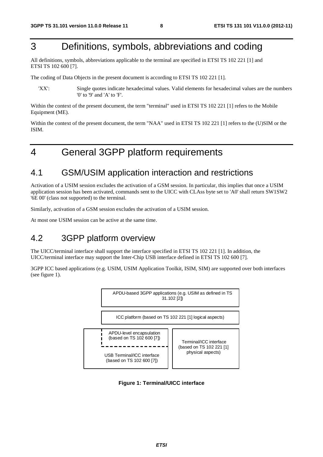## 3 Definitions, symbols, abbreviations and coding

All definitions, symbols, abbreviations applicable to the terminal are specified in ETSI TS 102 221 [1] and ETSI TS 102 600 [7].

The coding of Data Objects in the present document is according to ETSI TS 102 221 [1].

'XX': Single quotes indicate hexadecimal values. Valid elements for hexadecimal values are the numbers '0' to '9' and 'A' to 'F'.

Within the context of the present document, the term "terminal" used in ETSI TS 102 221 [1] refers to the Mobile Equipment (ME).

Within the context of the present document, the term "NAA" used in ETSI TS 102 221 [1] refers to the (U)SIM or the ISIM.

## 4 General 3GPP platform requirements

### 4.1 GSM/USIM application interaction and restrictions

Activation of a USIM session excludes the activation of a GSM session. In particular, this implies that once a USIM application session has been activated, commands sent to the UICC with CLAss byte set to 'A0' shall return SW1SW2 '6E 00' (class not supported) to the terminal.

Similarly, activation of a GSM session excludes the activation of a USIM session.

At most one USIM session can be active at the same time.

### 4.2 3GPP platform overview

The UICC/terminal interface shall support the interface specified in ETSI TS 102 221 [1]. In addition, the UICC/terminal interface may support the Inter-Chip USB interface defined in ETSI TS 102 600 [7].

3GPP ICC based applications (e.g. USIM, USIM Application Toolkit, ISIM, SIM) are supported over both interfaces (see figure 1).



**Figure 1: Terminal/UICC interface**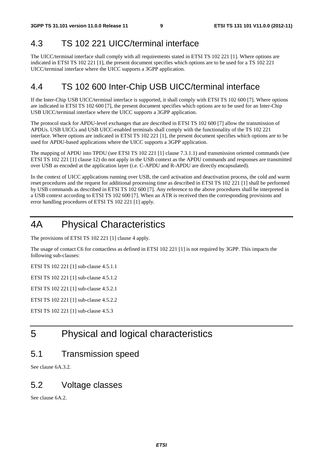### 4.3 TS 102 221 UICC/terminal interface

The UICC/terminal interface shall comply with all requirements stated in ETSI TS 102 221 [1]. Where options are indicated in ETSI TS 102 221 [1], the present document specifies which options are to be used for a TS 102 221 UICC/terminal interface where the UICC supports a 3GPP application.

### 4.4 TS 102 600 Inter-Chip USB UICC/terminal interface

If the Inter-Chip USB UICC/terminal interface is supported, it shall comply with ETSI TS 102 600 [7]. Where options are indicated in ETSI TS 102 600 [7], the present document specifies which options are to be used for an Inter-Chip USB UICC/terminal interface where the UICC supports a 3GPP application.

The protocol stack for APDU-level exchanges that are described in ETSI TS 102 600 [7] allow the transmission of APDUs. USB UICCs and USB UICC-enabled terminals shall comply with the functionality of the TS 102 221 interface. Where options are indicated in ETSI TS 102 221 [1], the present document specifies which options are to be used for APDU-based applications where the UICC supports a 3GPP application.

The mapping of APDU into TPDU (see ETSI TS 102 221 [1] clause 7.3.1.1) and transmission oriented commands (see ETSI TS 102 221 [1] clause 12) do not apply in the USB context as the APDU commands and responses are transmitted over USB as encoded at the application layer (i.e. C-APDU and R-APDU are directly encapsulated).

In the context of UICC applications running over USB, the card activation and deactivation process, the cold and warm reset procedures and the request for additional processing time as described in ETSI TS 102 221 [1] shall be performed by USB commands as described in ETSI TS 102 600 [7]. Any reference to the above procedures shall be interpreted in a USB context according to ETSI TS 102 600 [7]. When an ATR is received then the corresponding provisions and error handling procedures of ETSI TS 102 221 [1] apply.

## 4A Physical Characteristics

The provisions of ETSI TS 102 221 [1] clause 4 apply.

The usage of contact C6 for contactless as defined in ETSI 102 221 [1] is not required by 3GPP. This impacts the following sub-clauses:

ETSI TS 102 221 [1] sub-clause 4.5.1.1

ETSI TS 102 221 [1] sub-clause 4.5.1.2

ETSI TS 102 221 [1] sub-clause 4.5.2.1

ETSI TS 102 221 [1] sub-clause 4.5.2.2

ETSI TS 102 221 [1] sub-clause 4.5.3

## 5 Physical and logical characteristics

### 5.1 Transmission speed

See clause 6A.3.2.

### 5.2 Voltage classes

See clause 6A.2.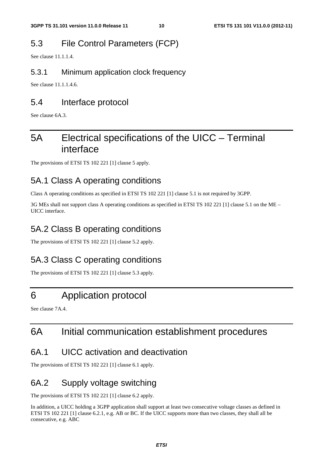## 5.3 File Control Parameters (FCP)

See clause 11.1.1.4.

#### 5.3.1 Minimum application clock frequency

See clause 11.1.1.4.6.

### 5.4 Interface protocol

See clause 6A.3.

## 5A Electrical specifications of the UICC – Terminal interface

The provisions of ETSI TS 102 221 [1] clause 5 apply.

## 5A.1 Class A operating conditions

Class A operating conditions as specified in ETSI TS 102 221 [1] clause 5.1 is not required by 3GPP.

3G MEs shall not support class A operating conditions as specified in ETSI TS 102 221 [1] clause 5.1 on the ME – UICC interface.

## 5A.2 Class B operating conditions

The provisions of ETSI TS 102 221 [1] clause 5.2 apply.

## 5A.3 Class C operating conditions

The provisions of ETSI TS 102 221 [1] clause 5.3 apply.

## 6 Application protocol

See clause 7A.4.

## 6A Initial communication establishment procedures

### 6A.1 UICC activation and deactivation

The provisions of ETSI TS 102 221 [1] clause 6.1 apply.

## 6A.2 Supply voltage switching

The provisions of ETSI TS 102 221 [1] clause 6.2 apply.

In addition, a UICC holding a 3GPP application shall support at least two consecutive voltage classes as defined in ETSI TS 102 221 [1] clause 6.2.1, e.g. AB or BC. If the UICC supports more than two classes, they shall all be consecutive, e.g. ABC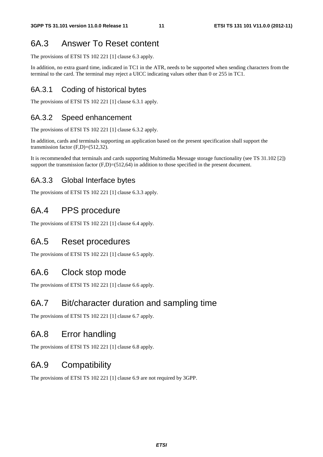## 6A.3 Answer To Reset content

The provisions of ETSI TS 102 221 [1] clause 6.3 apply.

In addition, no extra guard time, indicated in TC1 in the ATR, needs to be supported when sending characters from the terminal to the card. The terminal may reject a UICC indicating values other than 0 or 255 in TC1.

### 6A.3.1 Coding of historical bytes

The provisions of ETSI TS 102 221 [1] clause 6.3.1 apply.

### 6A.3.2 Speed enhancement

The provisions of ETSI TS 102 221 [1] clause 6.3.2 apply.

In addition, cards and terminals supporting an application based on the present specification shall support the transmission factor  $(F,D)=(512,32)$ .

It is recommended that terminals and cards supporting Multimedia Message storage functionality (see TS 31.102 [2]) support the transmission factor  $(F.D)=(512,64)$  in addition to those specified in the present document.

### 6A.3.3 Global Interface bytes

The provisions of ETSI TS 102 221 [1] clause 6.3.3 apply.

## 6A.4 PPS procedure

The provisions of ETSI TS 102 221 [1] clause 6.4 apply.

### 6A.5 Reset procedures

The provisions of ETSI TS 102 221 [1] clause 6.5 apply.

### 6A.6 Clock stop mode

The provisions of ETSI TS 102 221 [1] clause 6.6 apply.

### 6A.7 Bit/character duration and sampling time

The provisions of ETSI TS 102 221 [1] clause 6.7 apply.

### 6A.8 Error handling

The provisions of ETSI TS 102 221 [1] clause 6.8 apply.

## 6A.9 Compatibility

The provisions of ETSI TS 102 221 [1] clause 6.9 are not required by 3GPP.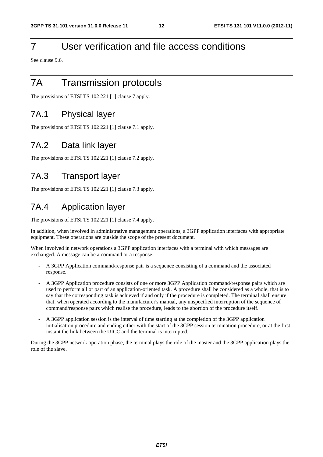## 7 User verification and file access conditions

See clause 9.6.

## 7A Transmission protocols

The provisions of ETSI TS 102 221 [1] clause 7 apply.

### 7A.1 Physical layer

The provisions of ETSI TS 102 221 [1] clause 7.1 apply.

## 7A.2 Data link layer

The provisions of ETSI TS 102 221 [1] clause 7.2 apply.

## 7A.3 Transport layer

The provisions of ETSI TS 102 221 [1] clause 7.3 apply.

## 7A.4 Application layer

The provisions of ETSI TS 102 221 [1] clause 7.4 apply.

In addition, when involved in administrative management operations, a 3GPP application interfaces with appropriate equipment. These operations are outside the scope of the present document.

When involved in network operations a 3GPP application interfaces with a terminal with which messages are exchanged. A message can be a command or a response.

- A 3GPP Application command/response pair is a sequence consisting of a command and the associated response.
- A 3GPP Application procedure consists of one or more 3GPP Application command/response pairs which are used to perform all or part of an application-oriented task. A procedure shall be considered as a whole, that is to say that the corresponding task is achieved if and only if the procedure is completed. The terminal shall ensure that, when operated according to the manufacturer's manual, any unspecified interruption of the sequence of command/response pairs which realise the procedure, leads to the abortion of the procedure itself.
- A 3GPP application session is the interval of time starting at the completion of the 3GPP application initialisation procedure and ending either with the start of the 3GPP session termination procedure, or at the first instant the link between the UICC and the terminal is interrupted.

During the 3GPP network operation phase, the terminal plays the role of the master and the 3GPP application plays the role of the slave.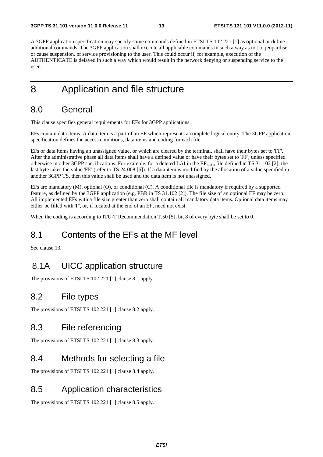A 3GPP application specification may specify some commands defined in ETSI TS 102 221 [1] as optional or define additional commands. The 3GPP application shall execute all applicable commands in such a way as not to jeopardise, or cause suspension, of service provisioning to the user. This could occur if, for example, execution of the AUTHENTICATE is delayed in such a way which would result in the network denying or suspending service to the user.

## 8 Application and file structure

### 8.0 General

This clause specifies general requirements for EFs for 3GPP applications.

EFs contain data items. A data item is a part of an EF which represents a complete logical entity. The 3GPP application specification defines the access conditions, data items and coding for each file.

EFs or data items having an unassigned value, or which are cleared by the terminal, shall have their bytes set to 'FF'. After the administrative phase all data items shall have a defined value or have their bytes set to 'FF', unless specified otherwise in other 3GPP specifications. For example, for a deleted LAI in the  $EF_{LOCI}$  file defined in TS 31.102 [2], the last byte takes the value 'FE' (refer to TS 24.008 [6]). If a data item is modified by the allocation of a value specified in another 3GPP TS, then this value shall be used and the data item is not unassigned.

EFs are mandatory (M), optional (O), or conditional (C). A conditional file is mandatory if required by a supported feature, as defined by the 3GPP application (e.g. PBR in TS 31.102 [2]). The file size of an optional EF may be zero. All implemented EFs with a file size greater than zero shall contain all mandatory data items. Optional data items may either be filled with 'F', or, if located at the end of an EF, need not exist.

When the coding is according to ITU-T Recommendation T.50 [5], bit 8 of every byte shall be set to 0.

### 8.1 Contents of the EFs at the MF level

See clause 13.

## 8.1A UICC application structure

The provisions of ETSI TS 102 221 [1] clause 8.1 apply.

### 8.2 File types

The provisions of ETSI TS 102 221 [1] clause 8.2 apply.

### 8.3 File referencing

The provisions of ETSI TS 102 221 [1] clause 8.3 apply.

### 8.4 Methods for selecting a file

The provisions of ETSI TS 102 221 [1] clause 8.4 apply.

### 8.5 Application characteristics

The provisions of ETSI TS 102 221 [1] clause 8.5 apply.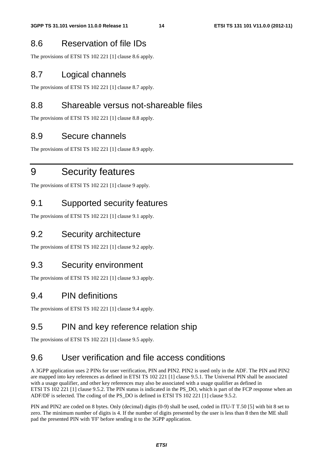## 8.6 Reservation of file IDs

The provisions of ETSI TS 102 221 [1] clause 8.6 apply.

## 8.7 Logical channels

The provisions of ETSI TS 102 221 [1] clause 8.7 apply.

## 8.8 Shareable versus not-shareable files

The provisions of ETSI TS 102 221 [1] clause 8.8 apply.

## 8.9 Secure channels

The provisions of ETSI TS 102 221 [1] clause 8.9 apply.

## 9 Security features

The provisions of ETSI TS 102 221 [1] clause 9 apply.

## 9.1 Supported security features

The provisions of ETSI TS 102 221 [1] clause 9.1 apply.

## 9.2 Security architecture

The provisions of ETSI TS 102 221 [1] clause 9.2 apply.

## 9.3 Security environment

The provisions of ETSI TS 102 221 [1] clause 9.3 apply.

## 9.4 PIN definitions

The provisions of ETSI TS 102 221 [1] clause 9.4 apply.

## 9.5 PIN and key reference relation ship

The provisions of ETSI TS 102 221 [1] clause 9.5 apply.

## 9.6 User verification and file access conditions

A 3GPP application uses 2 PINs for user verification, PIN and PIN2. PIN2 is used only in the ADF. The PIN and PIN2 are mapped into key references as defined in ETSI TS 102 221 [1] clause 9.5.1. The Universal PIN shall be associated with a usage qualifier, and other key references may also be associated with a usage qualifier as defined in ETSI TS 102 221 [1] clause 9.5.2. The PIN status is indicated in the PS\_DO, which is part of the FCP response when an ADF/DF is selected. The coding of the PS\_DO is defined in ETSI TS 102 221 [1] clause 9.5.2.

PIN and PIN2 are coded on 8 bytes. Only (decimal) digits (0-9) shall be used, coded in ITU-T T.50 [5] with bit 8 set to zero. The minimum number of digits is 4. If the number of digits presented by the user is less than 8 then the ME shall pad the presented PIN with 'FF' before sending it to the 3GPP application.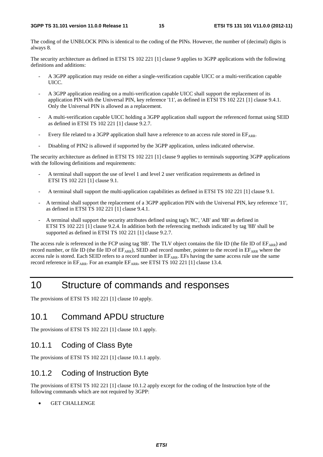The coding of the UNBLOCK PINs is identical to the coding of the PINs. However, the number of (decimal) digits is always 8.

The security architecture as defined in ETSI TS 102 221 [1] clause 9 applies to 3GPP applications with the following definitions and additions:

- A 3GPP application may reside on either a single-verification capable UICC or a multi-verification capable UICC.
- A 3GPP application residing on a multi-verification capable UICC shall support the replacement of its application PIN with the Universal PIN, key reference '11', as defined in ETSI TS 102 221 [1] clause 9.4.1. Only the Universal PIN is allowed as a replacement.
- A multi-verification capable UICC holding a 3GPP application shall support the referenced format using SEID as defined in ETSI TS 102 221 [1] clause 9.2.7.
- Every file related to a 3GPP application shall have a reference to an access rule stored in  $EF_{APR}$ .
- Disabling of PIN2 is allowed if supported by the 3GPP application, unless indicated otherwise.

The security architecture as defined in ETSI TS 102 221 [1] clause 9 applies to terminals supporting 3GPP applications with the following definitions and requirements:

- A terminal shall support the use of level 1 and level 2 user verification requirements as defined in ETSI TS 102 221 [1] clause 9.1.
- A terminal shall support the multi-application capabilities as defined in ETSI TS 102 221 [1] clause 9.1.
- A terminal shall support the replacement of a 3GPP application PIN with the Universal PIN, key reference '11', as defined in ETSI TS 102 221 [1] clause 9.4.1.
- A terminal shall support the security attributes defined using tag's '8C', 'AB' and '8B' as defined in ETSI TS 102 221 [1] clause 9.2.4. In addition both the referencing methods indicated by tag '8B' shall be supported as defined in ETSI TS 102 221 [1] clause 9.2.7.

The access rule is referenced in the FCP using tag '8B'. The TLV object contains the file ID (the file ID of  $EF_{ARR}$ ) and record number, or file ID (the file ID of EFARR), SEID and record number, pointer to the record in EFARR where the access rule is stored. Each SEID refers to a record number in EFARR. EFs having the same access rule use the same record reference in  $EF_{ARR}$ . For an example  $EF_{ARR}$ , see ETSI TS 102 221 [1] clause 13.4.

## 10 Structure of commands and responses

The provisions of ETSI TS 102 221 [1] clause 10 apply.

## 10.1 Command APDU structure

The provisions of ETSI TS 102 221 [1] clause 10.1 apply.

### 10.1.1 Coding of Class Byte

The provisions of ETSI TS 102 221 [1] clause 10.1.1 apply.

### 10.1.2 Coding of Instruction Byte

The provisions of ETSI TS 102 221 [1] clause 10.1.2 apply except for the coding of the Instruction byte of the following commands which are not required by 3GPP:

**GET CHALLENGE**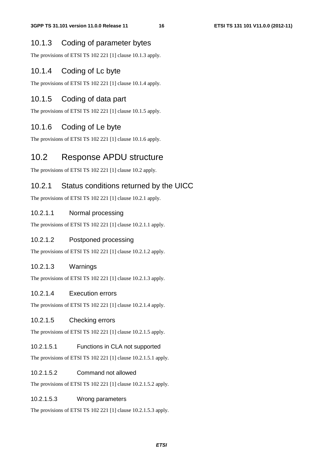#### 10.1.3 Coding of parameter bytes

The provisions of ETSI TS 102 221 [1] clause 10.1.3 apply.

#### 10.1.4 Coding of Lc byte

The provisions of ETSI TS 102 221 [1] clause 10.1.4 apply.

#### 10.1.5 Coding of data part

The provisions of ETSI TS 102 221 [1] clause 10.1.5 apply.

#### 10.1.6 Coding of Le byte

The provisions of ETSI TS 102 221 [1] clause 10.1.6 apply.

### 10.2 Response APDU structure

The provisions of ETSI TS 102 221 [1] clause 10.2 apply.

#### 10.2.1 Status conditions returned by the UICC

The provisions of ETSI TS 102 221 [1] clause 10.2.1 apply.

#### 10.2.1.1 Normal processing

The provisions of ETSI TS 102 221 [1] clause 10.2.1.1 apply.

#### 10.2.1.2 Postponed processing

The provisions of ETSI TS 102 221 [1] clause 10.2.1.2 apply.

#### 10.2.1.3 Warnings

The provisions of ETSI TS 102 221 [1] clause 10.2.1.3 apply.

#### 10.2.1.4 Execution errors

The provisions of ETSI TS 102 221 [1] clause 10.2.1.4 apply.

#### 10.2.1.5 Checking errors

The provisions of ETSI TS 102 221 [1] clause 10.2.1.5 apply.

#### 10.2.1.5.1 Functions in CLA not supported

The provisions of ETSI TS 102 221 [1] clause 10.2.1.5.1 apply.

#### 10.2.1.5.2 Command not allowed

The provisions of ETSI TS 102 221 [1] clause 10.2.1.5.2 apply.

#### 10.2.1.5.3 Wrong parameters

The provisions of ETSI TS 102 221 [1] clause 10.2.1.5.3 apply.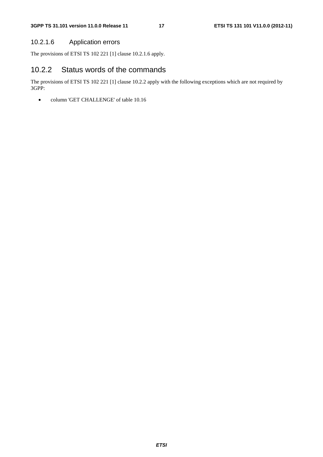#### 10.2.1.6 Application errors

The provisions of ETSI TS 102 221 [1] clause 10.2.1.6 apply.

### 10.2.2 Status words of the commands

The provisions of ETSI TS 102 221 [1] clause 10.2.2 apply with the following exceptions which are not required by 3GPP:

• column 'GET CHALLENGE' of table 10.16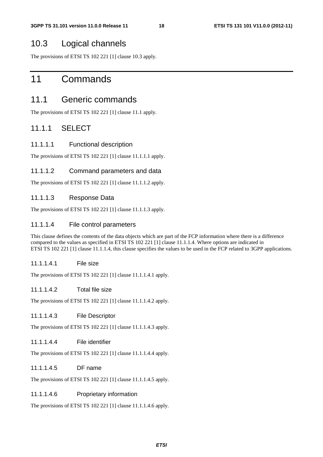### 10.3 Logical channels

The provisions of ETSI TS 102 221 [1] clause 10.3 apply.

## 11 Commands

### 11.1 Generic commands

The provisions of ETSI TS 102 221 [1] clause 11.1 apply.

#### 11.1.1 SELECT

#### 11.1.1.1 Functional description

The provisions of ETSI TS 102 221 [1] clause 11.1.1.1 apply.

#### 11.1.1.2 Command parameters and data

The provisions of ETSI TS 102 221 [1] clause 11.1.1.2 apply.

#### 11.1.1.3 Response Data

The provisions of ETSI TS 102 221 [1] clause 11.1.1.3 apply.

#### 11.1.1.4 File control parameters

This clause defines the contents of the data objects which are part of the FCP information where there is a difference compared to the values as specified in ETSI TS 102 221 [1] clause 11.1.1.4. Where options are indicated in ETSI TS 102 221 [1] clause 11.1.1.4, this clause specifies the values to be used in the FCP related to 3GPP applications.

#### 11.1.1.4.1 File size

The provisions of ETSI TS 102 221 [1] clause 11.1.1.4.1 apply.

#### 11.1.1.4.2 Total file size

The provisions of ETSI TS 102 221 [1] clause 11.1.1.4.2 apply.

#### 11.1.1.4.3 File Descriptor

The provisions of ETSI TS 102 221 [1] clause 11.1.1.4.3 apply.

#### 11.1.1.4.4 File identifier

The provisions of ETSI TS 102 221 [1] clause 11.1.1.4.4 apply.

#### 11.1.1.4.5 DF name

The provisions of ETSI TS 102 221 [1] clause 11.1.1.4.5 apply.

#### 11.1.1.4.6 Proprietary information

The provisions of ETSI TS 102 221 [1] clause 11.1.1.4.6 apply.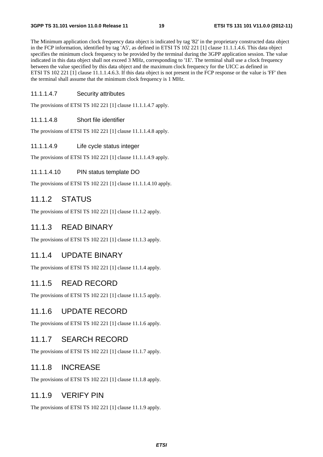The Minimum application clock frequency data object is indicated by tag '82' in the proprietary constructed data object in the FCP information, identified by tag 'A5', as defined in ETSI TS 102 221 [1] clause 11.1.1.4.6. This data object specifies the minimum clock frequency to be provided by the terminal during the 3GPP application session. The value indicated in this data object shall not exceed 3 MHz, corresponding to '1E'. The terminal shall use a clock frequency between the value specified by this data object and the maximum clock frequency for the UICC as defined in ETSI TS 102 221 [1] clause 11.1.1.4.6.3. If this data object is not present in the FCP response or the value is 'FF' then the terminal shall assume that the minimum clock frequency is 1 MHz.

#### 11.1.1.4.7 Security attributes

The provisions of ETSI TS 102 221 [1] clause 11.1.1.4.7 apply.

#### 11.1.1.4.8 Short file identifier

The provisions of ETSI TS 102 221 [1] clause 11.1.1.4.8 apply.

#### 11.1.1.4.9 Life cycle status integer

The provisions of ETSI TS 102 221 [1] clause 11.1.1.4.9 apply.

#### 11.1.1.4.10 PIN status template DO

The provisions of ETSI TS 102 221 [1] clause 11.1.1.4.10 apply.

#### 11.1.2 STATUS

The provisions of ETSI TS 102 221 [1] clause 11.1.2 apply.

#### 11.1.3 READ BINARY

The provisions of ETSI TS 102 221 [1] clause 11.1.3 apply.

#### 11.1.4 UPDATE BINARY

The provisions of ETSI TS 102 221 [1] clause 11.1.4 apply.

#### 11.1.5 READ RECORD

The provisions of ETSI TS 102 221 [1] clause 11.1.5 apply.

#### 11.1.6 UPDATE RECORD

The provisions of ETSI TS 102 221 [1] clause 11.1.6 apply.

#### 11.1.7 SEARCH RECORD

The provisions of ETSI TS 102 221 [1] clause 11.1.7 apply.

#### 11.1.8 INCREASE

The provisions of ETSI TS 102 221 [1] clause 11.1.8 apply.

#### 11.1.9 VERIFY PIN

The provisions of ETSI TS 102 221 [1] clause 11.1.9 apply.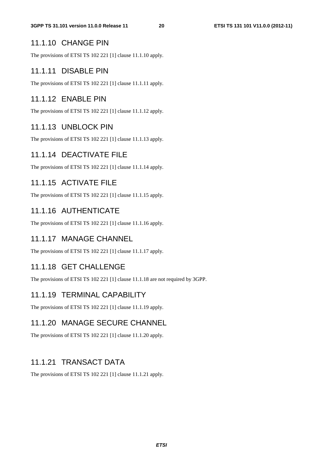#### 11.1.10 CHANGE PIN

The provisions of ETSI TS 102 221 [1] clause 11.1.10 apply.

#### 11.1.11 DISABLE PIN

The provisions of ETSI TS 102 221 [1] clause 11.1.11 apply.

#### 11.1.12 ENABLE PIN

The provisions of ETSI TS 102 221 [1] clause 11.1.12 apply.

#### 11.1.13 UNBLOCK PIN

The provisions of ETSI TS 102 221 [1] clause 11.1.13 apply.

### 11.1.14 DEACTIVATE FILE

The provisions of ETSI TS 102 221 [1] clause 11.1.14 apply.

#### 11.1.15 ACTIVATE FILE

The provisions of ETSI TS 102 221 [1] clause 11.1.15 apply.

#### 11.1.16 AUTHENTICATE

The provisions of ETSI TS 102 221 [1] clause 11.1.16 apply.

#### 11.1.17 MANAGE CHANNEL

The provisions of ETSI TS 102 221 [1] clause 11.1.17 apply.

#### 11.1.18 GET CHALLENGE

The provisions of ETSI TS 102 221 [1] clause 11.1.18 are not required by 3GPP.

#### 11.1.19 TERMINAL CAPABILITY

The provisions of ETSI TS 102 221 [1] clause 11.1.19 apply.

#### 11.1.20 MANAGE SECURE CHANNEL

The provisions of ETSI TS 102 221 [1] clause 11.1.20 apply.

#### 11.1.21 TRANSACT DATA

The provisions of ETSI TS 102 221 [1] clause 11.1.21 apply.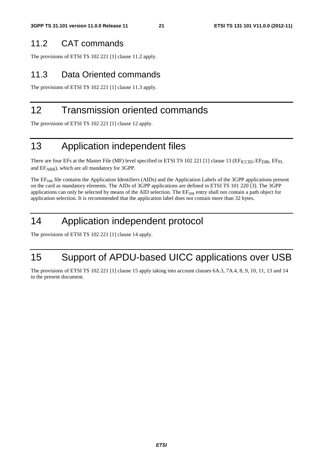### 11.2 CAT commands

The provisions of ETSI TS 102 221 [1] clause 11.2 apply.

## 11.3 Data Oriented commands

The provisions of ETSI TS 102 221 [1] clause 11.3 apply.

## 12 Transmission oriented commands

The provisions of ETSI TS 102 221 [1] clause 12 apply.

## 13 Application independent files

There are four EFs at the Master File (MF) level specified in ETSI TS 102 221 [1] clause 13 (EF<sub>ICCID</sub>; EF<sub>DIR</sub>, EF<sub>PL</sub> and EFARR), which are all mandatory for 3GPP.

The EF<sub>DIR</sub> file contains the Application Identifiers (AIDs) and the Application Labels of the 3GPP applications present on the card as mandatory elements. The AIDs of 3GPP applications are defined in ETSI TS 101 220 [3]. The 3GPP applications can only be selected by means of the AID selection. The  $E_{\text{DIR}}$  entry shall not contain a path object for application selection. It is recommended that the application label does not contain more than 32 bytes.

## 14 Application independent protocol

The provisions of ETSI TS 102 221 [1] clause 14 apply.

## 15 Support of APDU-based UICC applications over USB

The provisions of ETSI TS 102 221 [1] clause 15 apply taking into account clauses 6A.3, 7A.4, 8, 9, 10, 11, 13 and 14 in the present document.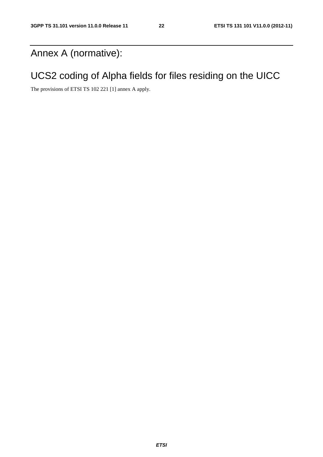## Annex A (normative):

## UCS2 coding of Alpha fields for files residing on the UICC

The provisions of ETSI TS 102 221 [1] annex A apply.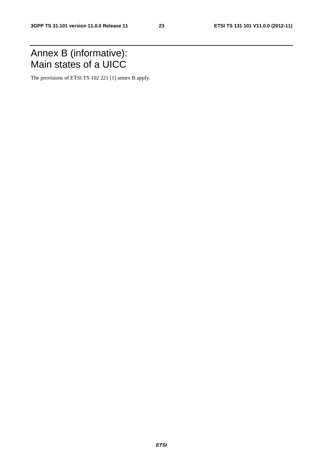## Annex B (informative): Main states of a UICC

The provisions of ETSI TS 102 221 [1] annex B apply.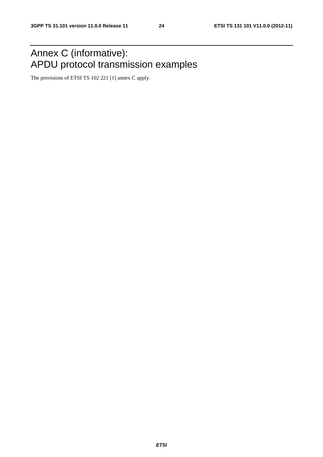## Annex C (informative): APDU protocol transmission examples

The provisions of ETSI TS 102 221 [1] annex C apply.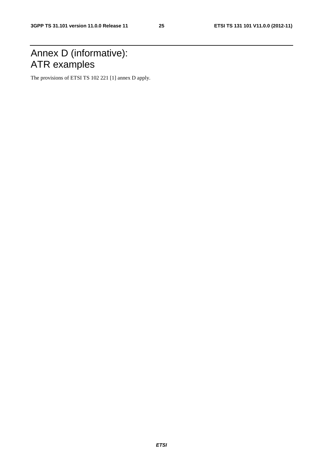## Annex D (informative): ATR examples

The provisions of ETSI TS 102 221 [1] annex D apply.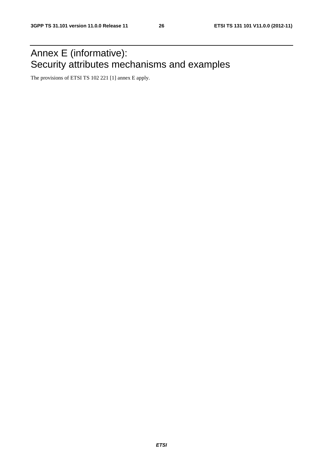## Annex E (informative): Security attributes mechanisms and examples

The provisions of ETSI TS 102 221 [1] annex E apply.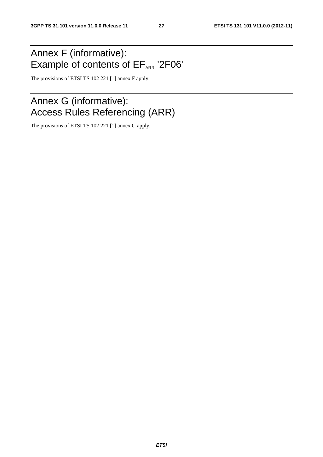## Annex F (informative): Example of contents of  $EF_{ARR}$  '2F06'

The provisions of ETSI TS 102 221 [1] annex F apply.

## Annex G (informative): Access Rules Referencing (ARR)

The provisions of ETSI TS 102 221 [1] annex G apply.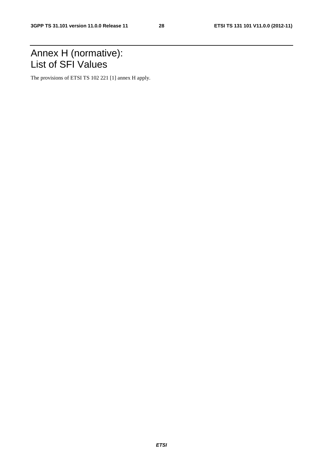## Annex H (normative): List of SFI Values

The provisions of ETSI TS 102 221 [1] annex H apply.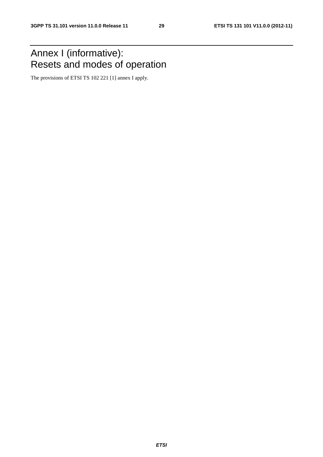## Annex I (informative): Resets and modes of operation

The provisions of ETSI TS 102 221 [1] annex I apply.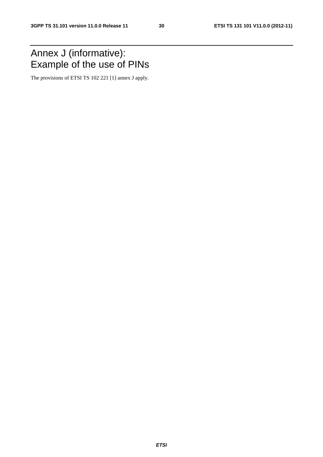## Annex J (informative): Example of the use of PINs

The provisions of ETSI TS 102 221 [1] annex J apply.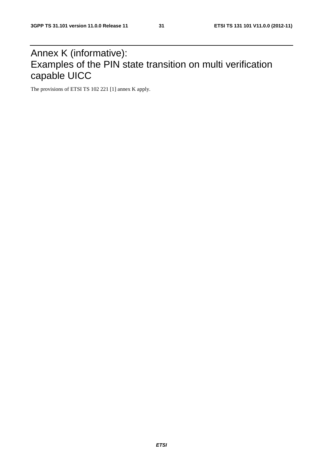## Annex K (informative): Examples of the PIN state transition on multi verification capable UICC

The provisions of ETSI TS 102 221 [1] annex K apply.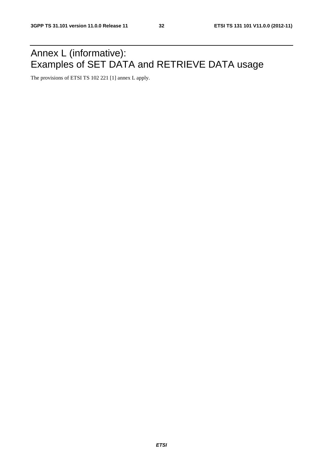## Annex L (informative): Examples of SET DATA and RETRIEVE DATA usage

The provisions of ETSI TS 102 221 [1] annex L apply.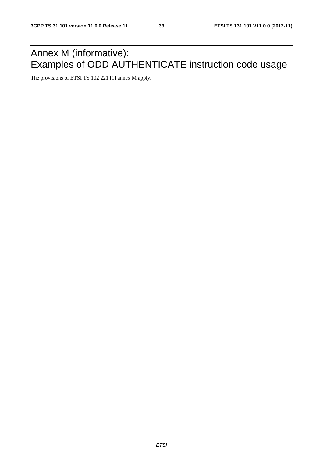## Annex M (informative): Examples of ODD AUTHENTICATE instruction code usage

The provisions of ETSI TS 102 221 [1] annex M apply.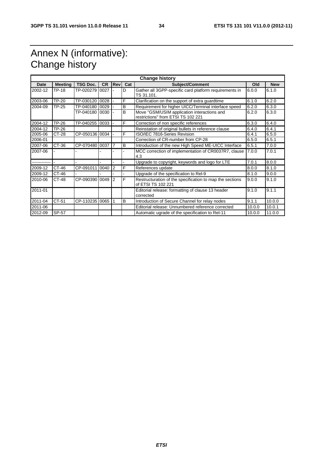## Annex N (informative): Change history

| <b>Change history</b> |                |                  |           |            |     |                                                                                   |        |            |
|-----------------------|----------------|------------------|-----------|------------|-----|-----------------------------------------------------------------------------------|--------|------------|
| <b>Date</b>           | <b>Meeting</b> | <b>TSG Doc.</b>  | <b>CR</b> | <b>Rev</b> | Cat | <b>Subject/Comment</b>                                                            | Old    | <b>New</b> |
| 2002-12               | TP-18          | TP-020279        | 0027      |            | D   | Gather all 3GPP-specific card platform requirements in<br>TS 31.101.              | 6.0.0  | 6.1.0      |
| 2003-06               | <b>TP-20</b>   | TP-030120 0028   |           |            | F   | Clarification on the support of extra guardtime                                   | 6.1.0  | 6.2.0      |
| 2004-09               | TP-25          | TP-040180        | 0029      |            | B   | Requirement for higher UICC/Terminal interface speed                              | 6.2.0  | 6.3.0      |
|                       |                | TP-040180        | 0030      |            | B   | Move "GSM/USIM application interactions and<br>restrictions" from ETSI TS 102 221 | 6.2.0  | 6.3.0      |
| 2004-12               | <b>TP-26</b>   | TP-040255 0033   |           |            | F   | Correction of non specific references                                             | 6.3.0  | 6.4.0      |
| 2004-12               | <b>TP-26</b>   |                  |           |            |     | Reinstation of original bullets in reference clause                               | 6.4.0  | 6.4.1      |
| 2005-06               | CT-28          | CP-050136 0034   |           |            | F   | ISO/IEC 7816-Series Revision                                                      | 6.4.1  | 6.5.0      |
| 2006-01               |                |                  |           |            |     | Correction of CR-number from CP-28                                                | 6.5.0  | 6.5.1      |
| 2007-06               | CT-36          | CP-070480 0037   |           | 17         | B   | Introduction of the new High Speed ME-UICC Interface                              | 6.5.1  | 7.0.0      |
| 2007-06               |                |                  |           |            |     | MCC correction of implementation of CR0037R7, clause<br>4.3                       | 7.0.0  | 7.0.1      |
|                       |                |                  |           |            |     | Upgrade to copyright, keywords and logo for LTE                                   | 7.0.1  | 8.0.0      |
| 2009-12               | CT-46          | CP-091011        | 0040 2    |            | F   | References update                                                                 | 8.0.0  | 8.1.0      |
| 2009-12               | CT-46          |                  |           |            |     | Upgrade of the specification to Rel-9                                             | 8.1.0  | 9.0.0      |
| 2010-06               | CT-48          | CP-090390 0049 2 |           |            | F   | Restructuration of the specification to map the sections<br>of ETSI TS 102 221    | 9.0.0  | 9.1.0      |
| 2011-01               |                |                  |           |            |     | Editorial release: formatting of clause 13 header<br>corrected                    | 9.1.0  | 9.1.1      |
| 2011-04               | CT-51          | CP-110235 0065 1 |           |            | B   | Introduction of Secure Channel for relay nodes                                    | 9.1.1  | 10.0.0     |
| 2011-06               |                |                  |           |            |     | Editorial release: Unnumbered reference corrected                                 | 10.0.0 | 10.0.1     |
| 2012-09               | SP-57          |                  |           |            |     | Automatic ugrade of the specification to Rel-11                                   | 10.0.0 | 11.0.0     |